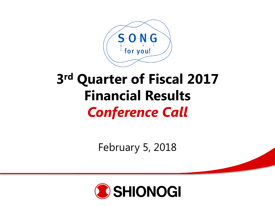

# **3 rd Quarter of Fiscal 2017 Financial Results**  *Conference Call*

February 5, 2018

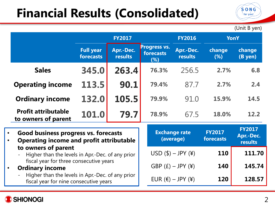## **Financial Results (Consolidated)**

(Unit B yen)

 $S$ -O-N-G for you!

|                                                                                            | <b>FY2017</b>                 |                             |                                         | <b>FY2016</b>                               |                            | <b>YonY</b>                                  |
|--------------------------------------------------------------------------------------------|-------------------------------|-----------------------------|-----------------------------------------|---------------------------------------------|----------------------------|----------------------------------------------|
|                                                                                            | <b>Full year</b><br>forecasts | Apr.-Dec.<br><b>results</b> | <b>Progress vs.</b><br>forecasts<br>(%) | Apr.-Dec.<br><b>results</b>                 | change<br>(%)              | change<br>(B yen)                            |
| <b>Sales</b>                                                                               | 345.0                         | 263.4                       | 76.3%                                   | 256.5                                       | 2.7%                       | 6.8                                          |
| <b>Operating income</b>                                                                    | 113.5                         | 90.1                        | 79.4%                                   | 87.7                                        | 2.7%                       | 2.4                                          |
| <b>Ordinary income</b>                                                                     | 132.0                         | 105.5                       | 79.9%                                   | 91.0                                        | 15.9%                      | 14.5                                         |
| <b>Profit attributable</b><br>to owners of parent                                          | 101.0                         | 79.7                        | 78.9%                                   | 67.5                                        | 18.0%                      | 12.2                                         |
| Good business progress vs. forecasts<br><b>Operating income and profit attributable</b>    |                               |                             |                                         | <b>Exchange rate</b><br>(average)           | <b>FY2017</b><br>forecasts | <b>FY2017</b><br>Apr.-Dec.<br><b>results</b> |
| to owners of parent<br>Higher than the levels in Apr.-Dec. of any prior                    |                               |                             |                                         | $USD ($) - JPY (¥)$                         | 110                        | 111.70                                       |
| fiscal year for three consecutive years<br><b>Ordinary income</b><br>$\bullet$             |                               |                             |                                         | GBP $(f)$ – JPY $(\frac{4}{3})$             | 140                        | 145.74                                       |
| Higher than the levels in Apr.-Dec. of any prior<br>fiscal year for nine consecutive years |                               |                             |                                         | $EUR$ ( $\varepsilon$ ) – JPY (\integration | <b>120</b>                 | 128.57                                       |

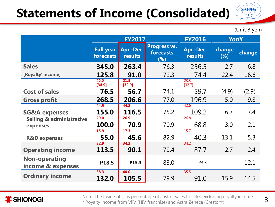## **Statements of Income (Consolidated)**

(Unit B yen)

 $S$  O N G for you!

|                                                 | <b>FY2017</b>                 |                      |                                         | <b>FY2016</b>        |                      | YonY   |
|-------------------------------------------------|-------------------------------|----------------------|-----------------------------------------|----------------------|----------------------|--------|
|                                                 | <b>Full year</b><br>forecasts | Apr.-Dec.<br>results | <b>Progress vs.</b><br>forecasts<br>(%) | Apr.-Dec.<br>results | <b>change</b><br>(%) | change |
| <b>Sales</b>                                    | 345.0                         | 263.4                | 76.3                                    | 256.5                | 2.7                  | 6.8    |
| [Royalty <sup>*</sup> income]                   | 125.8                         | 91.0                 | 72.3                                    | 74.4                 | 22.4                 | 16.6   |
|                                                 | 22.2<br>[34.9]                | 21.5<br>[32.9]       |                                         | 23.3<br>[32.7]       |                      |        |
| <b>Cost of sales</b>                            | 76.5                          | 56.7                 | 74.1                                    | 59.7                 | (4.9)                | (2.9)  |
| <b>Gross profit</b>                             | 268.5                         | 206.6                | 77.0                                    | 196.9                | 5.0                  | 9.8    |
| <b>SG&amp;A expenses</b>                        | 44.9<br>155.0                 | 44.2<br>116.5        | 75.2                                    | 42.6<br>109.2        | 6.7                  | 7.4    |
| <b>Selling &amp; administrative</b><br>expenses | 29.0<br>100.0<br>15.9         | 26.9<br>70.9<br>17.3 | 70.9                                    | 26.8<br>68.8<br>15.7 | 3.0                  | 2.1    |
| <b>R&amp;D expenses</b>                         | 55.0                          | 45.6                 | 82.9                                    | 40.3                 | 13.1                 | 5.3    |
| <b>Operating income</b>                         | 32.9<br>113.5                 | 34.2<br>90.1         | 79.4                                    | 34.2<br>87.7         | 2.7                  | 2.4    |
| <b>Non-operating</b><br>income & expenses       | P18.5                         | P15.3                | 83.0                                    | P3.3                 |                      | 12.1   |
| <b>Ordinary income</b>                          | 38.3<br>132.0                 | 40.0<br>105.5        | 79.9                                    | 35.5<br>91.0         | 15.9                 | 14.5   |



Note: The inside of [ ] is percentage of cost of sales to sales excluding royalty income \* Royalty income from ViiV (HIV franchise) and Astra Zeneca (Crestor®)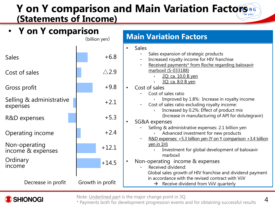#### Y on Y comparison and Main Variation Factors NG **(Statements of Income)**

| • Y on Y comparison<br>(billion yen) |                  | <b>Main Variation Factors</b>                                                                                                                                                     |  |  |  |
|--------------------------------------|------------------|-----------------------------------------------------------------------------------------------------------------------------------------------------------------------------------|--|--|--|
|                                      |                  | <b>Sales</b>                                                                                                                                                                      |  |  |  |
| <b>Sales</b>                         | $+6.8$           | Sales expansion of strategic products<br>Increased royalty income for HIV franchise                                                                                               |  |  |  |
| Cost of sales                        | $\triangle$ 2.9  | Received payments* from Roche regarding baloxavir<br>marboxil (S-033188)<br>2Q: ca. 10.0 B yen<br>3Q: ca. 8.0 B yen                                                               |  |  |  |
| Gross profit                         | $+9.8$           | Cost of sales                                                                                                                                                                     |  |  |  |
| Selling & administrative<br>expenses | $+2.1$           | Cost of sales ratio<br>Improved by 1.8%: Increase in royalty income<br>Cost of sales ratio excluding royalty income:<br>Increased by 0.2%: Effect of product mix<br>$\rightarrow$ |  |  |  |
| R&D expenses                         | $+5.3$           | (Increase in manufacturing of API for dolutegravir)<br>SG&A expenses                                                                                                              |  |  |  |
| Operating income                     | $+2.4$           | Selling & administrative expenses: 2.1 billion yen<br>Advanced investment for new products<br>R&D expenses: +5.3 billion yen (Y on Y comparison +3.4 billion                      |  |  |  |
| Non-operating<br>income & expenses   | $+12.1$          | yen in 1H)<br>Investment for global development of baloxavir<br>$\rightarrow$<br>marboxil                                                                                         |  |  |  |
| Ordinary<br>income                   | $+14.5$          | Non-operating income & expenses<br>Received dividend:<br>Global sales growth of HIV franchise and dividend payment                                                                |  |  |  |
| Decrease in profit                   | Growth in profit | in accordance with the revised contract with ViiV<br>Receive dividend from ViiV quarterly<br>$\rightarrow$                                                                        |  |  |  |





\* Payments both for development progression events and for obtaining successful results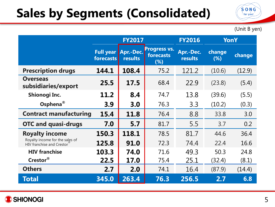## **Sales by Segments (Consolidated)**

(Unit B yen)

 $S$ -O-N-G for  $y$ ou!

|                                                              | <b>FY2017</b> |                                       |                                         | <b>FY2016</b>        | YonY          |        |
|--------------------------------------------------------------|---------------|---------------------------------------|-----------------------------------------|----------------------|---------------|--------|
|                                                              | forecasts     | <b>Full year Apr.-Dec.</b><br>results | <b>Progress vs.</b><br>forecasts<br>(%) | Apr.-Dec.<br>results | change<br>(%) | change |
| <b>Prescription drugs</b>                                    | 144.1         | 108.4                                 | 75.2                                    | 121.2                | (10.6)        | (12.9) |
| <b>Overseas</b><br>subsidiaries/export                       | 25.5          | 17.5                                  | 68.4                                    | 22.9                 | (23.8)        | (5.4)  |
| Shionogi Inc.                                                | 11.2          | 8.4                                   | 74.7                                    | 13.8                 | (39.6)        | (5.5)  |
| Osphena <sup>®</sup>                                         | 3.9           | 3.0                                   | 76.3                                    | 3.3                  | (10.2)        | (0.3)  |
| <b>Contract manufacturing</b>                                | 15.4          | 11.8                                  | 76.4                                    | 8.8                  | 33.8          | 3.0    |
| <b>OTC and quasi-drugs</b>                                   | 7.0           | 5.7                                   | 81.7                                    | 5.5                  | 3.7           | 0.2    |
| <b>Royalty income</b>                                        | 150.3         | 118.1                                 | 78.5                                    | 81.7                 | 44.6          | 36.4   |
| Royalty income for the sales of<br>HIV franchise and Crestor | 125.8         | 91.0                                  | 72.3                                    | 74.4                 | 22.4          | 16.6   |
| <b>HIV franchise</b>                                         | 103.3         | 74.0                                  | 71.6                                    | 49.3                 | 50.3          | 24.8   |
| Crestor®                                                     | 22.5          | <b>17.0</b>                           | 75.4                                    | 25.1                 | (32.4)        | (8.1)  |
| <b>Others</b>                                                | 2.7           | 2.0                                   | 74.1                                    | 16.4                 | (87.9)        | (14.4) |
| Total                                                        | 345.0         | 263.4                                 | 76.3                                    | 256.5                | 2.7           | 6.8    |

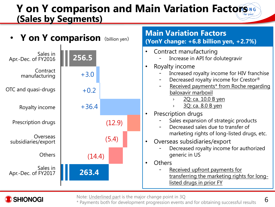#### **Y** on Y comparison and Main Variation Factors NG **(Sales by Segments)**





Note: Underlined part is the major change point in 3Q

\* Payments both for development progression events and for obtaining successful results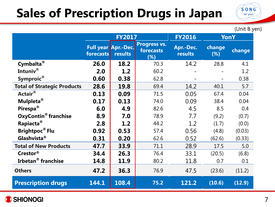## **Sales of Prescription Drugs in Japan**

(Unit B yen)

 $S$ -O-N-G for you!

|                                        | <b>FY2017</b> |                                       |                                  | <b>FY2016</b>        |               | YonY   |
|----------------------------------------|---------------|---------------------------------------|----------------------------------|----------------------|---------------|--------|
|                                        | forecasts     | <b>Full year Apr.-Dec.</b><br>results | Progress vs.<br>forecasts<br>(%) | Apr.-Dec.<br>results | change<br>(%) | change |
| Cymbalta <sup>®</sup>                  | 26.0          | 18.2                                  | 70.3                             | 14.2                 | 28.8          | 4.1    |
| Intuniv®                               | 2.0           | 1.2                                   | 60.2                             |                      |               | 1.2    |
| Symproic®                              | 0.60          | 0.38                                  | 62.8                             |                      |               | 0.38   |
| <b>Total of Strategic Products</b>     | 28.6          | 19.8                                  | 69.4                             | 14.2                 | 40.1          | 5.7    |
| Actair®                                | 0.13          | 0.09                                  | 71.5                             | 0.05                 | 67.4          | 0.04   |
| Mulpleta <sup>®</sup>                  | 0.17          | 0.13                                  | 74.0                             | 0.09                 | 38.4          | 0.04   |
| Pirespa <sup>®</sup>                   | 6.0           | 4.9                                   | 82.6                             | 4.5                  | 8.5           | 0.4    |
| <b>OxyContin<sup>®</sup></b> franchise | 8.9           | 7.0                                   | 78.9                             | 7.7                  | (9.2)         | (0.7)  |
| Rapiacta <sup>®</sup>                  | 2.8           | 1.2                                   | 44.2                             | 1.2                  | (1.7)         | (0.0)  |
| Brightpoc <sup>®</sup> Flu             | 0.92          | 0.53                                  | 57.4                             | 0.56                 | (4.8)         | (0.03) |
| Glashvista <sup>®</sup>                | 0.31          | 0.20                                  | 62.6                             | 0.52                 | (62.6)        | (0.33) |
| <b>Total of New Products</b>           | 47.7          | 33.9                                  | 71.1                             | 28.9                 | 17.5          | 5.0    |
| Crestor <sup>®</sup>                   | 34.4          | 26.3                                  | 76.4                             | 33.1                 | (20.5)        | (6.8)  |
| <b>Irbetan<sup>®</sup></b> franchise   | 14.8          | 11.9                                  | 80.2                             | 11.8                 | 0.7           | 0.1    |
| <b>Others</b>                          | 47.2          | 36.3                                  | 76.9                             | 47.5                 | (23.6)        | (11.2) |
| <b>Prescription drugs</b>              | 144.1         | 108.4                                 | 75.2                             | 121.2                | (10.6)        | (12.9) |

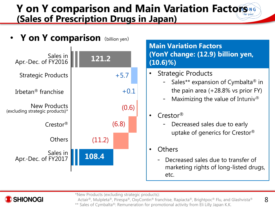#### Y on Y comparison and Main Variation Factors NG **(Sales of Prescription Drugs in Japan)**



\*New Products (excluding strategic products):

**SHIONOGI** 

8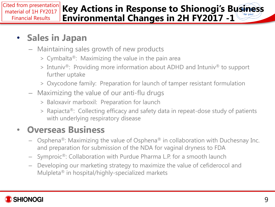#### **Key Actions in Response to Shionogi's Business Environmental Changes in 2H FY2017 -1** Cited from presentation material of 1H FY2017 Financial Results

#### • **Sales in Japan**

- Maintaining sales growth of new products
	- > Cymbalta®: Maximizing the value in the pain area
	- > Intuniv®: Providing more information about ADHD and Intuniv® to support further uptake
	- > Oxycodone family: Preparation for launch of tamper resistant formulation
- Maximizing the value of our anti-flu drugs
	- > Baloxavir marboxil: Preparation for launch
	- > Rapiacta®: Collecting efficacy and safety data in repeat-dose study of patients with underlying respiratory disease

#### • **Overseas Business**

- Osphena<sup>®</sup>: Maximizing the value of Osphena<sup>®</sup> in collaboration with Duchesnay Inc. and preparation for submission of the NDA for vaginal dryness to FDA
- Symproic®: Collaboration with Purdue Pharma L.P. for a smooth launch
- Developing our marketing strategy to maximize the value of cefiderocol and Mulpleta® in hospital/highly-specialized markets

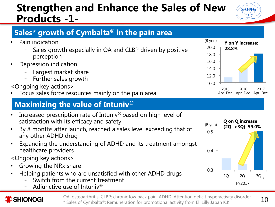#### **Strengthen and Enhance the Sales of New Products -1-**



- Pain indication
	- Sales growth especially in OA and CLBP driven by positive perception
- Depression indication
	- Largest market share
	- Further sales growth

#### <Ongoing key actions>

• Focus sales force resources mainly on the pain area

#### **Maximizing the value of Intuniv®**

- Increased prescription rate of Intuniv® based on high level of satisfaction with its efficacy and safety
- By 8 months after launch, reached a sales level exceeding that of any other ADHD drug
- Expanding the understanding of ADHD and its treatment amongst healthcare providers

<Ongoing key actions>

- Growing the NRx share
- Helping patients who are unsatisfied with other ADHD drugs
	- Switch from the current treatment
	- Adjunctive use of Intuniv®



OA: osteoarthritis, CLBP: chronic low back pain, ADHD: Attention deficit hyperactivity disorder \* Sales of Cymbalta®: Remuneration for promotional activity from Eli Lilly Japan K.K.





 $S$  O  $N$  G for you!

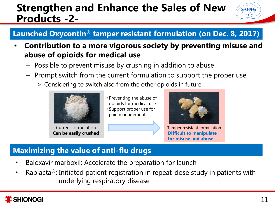#### **Strengthen and Enhance the Sales of New Products -2-**



#### **Launched Oxycontin® tamper resistant formulation (on Dec. 8, 2017)**

- **Contribution to a more vigorous society by preventing misuse and abuse of opioids for medical use**
	- Possible to prevent misuse by crushing in addition to abuse
	- Prompt switch from the current formulation to support the proper use
		- > Considering to switch also from the other opioids in future



Current formulation **Can be easily crushed**

- Preventing the abuse of opioids for medical use
- Support proper use for pain management



Tamper resistant formulation **Difficult to manipulate for misuse and abuse**

#### **Maximizing the value of anti-flu drugs**

- Baloxavir marboxil: Accelerate the preparation for launch
- Rapiacta<sup>®</sup>: Initiated patient registration in repeat-dose study in patients with underlying respiratory disease

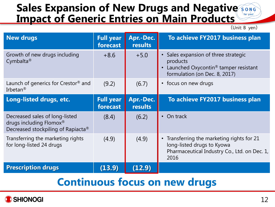#### **Sales Expansion of New Drugs and Negative Song** for you! **Impact of Generic Entries on Main Products**

(Unit: B yen)

| <b>New drugs</b>                                                                                            | <b>Full year</b><br>forecast | Apr.-Dec.<br>results | To achieve FY2017 business plan                                                                                                       |
|-------------------------------------------------------------------------------------------------------------|------------------------------|----------------------|---------------------------------------------------------------------------------------------------------------------------------------|
| Growth of new drugs including<br>Cymbalta <sup>®</sup>                                                      | $+8.6$                       | $+5.0$               | • Sales expansion of three strategic<br>products<br>Launched Oxycontin <sup>®</sup> tamper resistant<br>formulation (on Dec. 8, 2017) |
| Launch of generics for Crestor <sup>®</sup> and<br>Irbetan <sup>®</sup>                                     | (9.2)                        | (6.7)                | • focus on new drugs                                                                                                                  |
| Long-listed drugs, etc.                                                                                     | <b>Full year</b><br>forecast | Apr.-Dec.<br>results | To achieve FY2017 business plan                                                                                                       |
| Decreased sales of long-listed<br>drugs including Flomox <sup>®</sup><br>Decreased stockpiling of Rapiacta® | (8.4)                        | (6.2)                | • On track                                                                                                                            |
| Transferring the marketing rights<br>for long-listed 24 drugs                                               | (4.9)                        | (4.9)                | • Transferring the marketing rights for 21<br>long-listed drugs to Kyowa<br>Pharmaceutical Industry Co., Ltd. on Dec. 1,<br>2016      |
| <b>Prescription drugs</b>                                                                                   | (13.9)                       | (12.9)               |                                                                                                                                       |

#### **Continuous focus on new drugs**

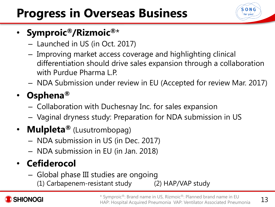# **Progress in Overseas Business**



### • **Symproic®/Rizmoic®**\*

- Launched in US (in Oct. 2017)
- Improving market access coverage and highlighting clinical differentiation should drive sales expansion through a collaboration with Purdue Pharma L.P.
- NDA Submission under review in EU (Accepted for review Mar. 2017)

## • **Osphena®**

- Collaboration with Duchesnay Inc. for sales expansion
- Vaginal dryness study: Preparation for NDA submission in US

### • **Mulpleta®** (Lusutrombopag)

- NDA submission in US (in Dec. 2017)
- NDA submission in EU (in Jan. 2018)

## • **Cefiderocol**

- Global phase III studies are ongoing
	- (1) Carbapenem-resistant study (2) HAP/VAP study

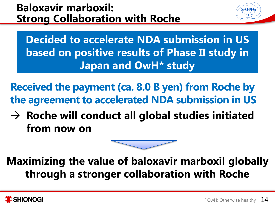### **Baloxavir marboxil: Strong Collaboration with Roche**

**Decided to accelerate NDA submission in US based on positive results of Phase II study in Japan and OwH\* study**

**Received the payment (ca. 8.0 B yen) from Roche by the agreement to accelerated NDA submission in US**

→ Roche will conduct all global studies initiated **from now on**



## **Maximizing the value of baloxavir marboxil globally through a stronger collaboration with Roche**



S-O-N-C for you!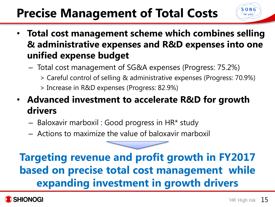# **Precise Management of Total Costs**

- **Total cost management scheme which combines selling & administrative expenses and R&D expenses into one unified expense budget**
	- Total cost management of SG&A expenses (Progress: 75.2%)
		- > Careful control of selling & administrative expenses (Progress: 70.9%)
		- > Increase in R&D expenses (Progress: 82.9%)
- **Advanced investment to accelerate R&D for growth drivers**
	- Baloxavir marboxil : Good progress in HR\* study
	- Actions to maximize the value of baloxavir marboxil

## **Targeting revenue and profit growth in FY2017 based on precise total cost management while expanding investment in growth drivers**



 $S$   $O$   $N$   $G$ for you!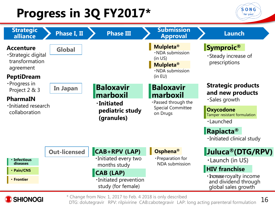# **Progress in 3Q FY2017\***

**SHIONOGI** 





\* Change from Nov. 1, 2017 to Feb. 4 2018 is only described

16 DTG: dolutegravir RPV: rilpivirine CAB:cabotegravir LAP: long acting parenteral formulation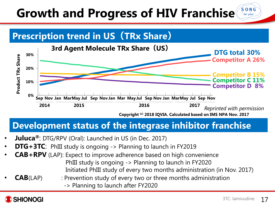#### $S$   $\cdot$   $O$   $\cdot$   $N$   $\cdot$   $G$ **Growth and Progress of HIV Franchise** for you!





#### **Development status of the integrase inhibitor franchise**

- **Juluca®**: DTG/RPV (Oral): Launched in US (in Dec. 2017)
- **DTG+3TC:** PhIII study is ongoing -> Planning to launch in FY2019
- **CAB+RPV** (LAP): Expect to improve adherence based on high convenience PhIII study is ongoing -> Planning to launch in FY2020 Initiated PhIII study of every two months administration (in Nov. 2017)
- **CAB**(LAP) : Prevention study of every two or three months administration
	- -> Planning to launch after FY2020

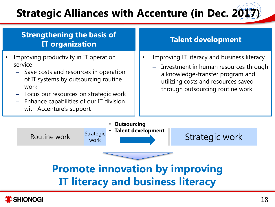## **Strategic Alliances with Accenture (in Dec. 2017)**

#### **Strengthening the basis of IT organization**

- Improving productivity in IT operation service
	- Save costs and resources in operation of IT systems by outsourcing routine work
	- Focus our resources on strategic work
	- Enhance capabilities of our IT division with Accenture's support

#### **Talent development**

- Improving IT literacy and business literacy
	- Investment in human resources through a knowledge-transfer program and utilizing costs and resources saved through outsourcing routine work



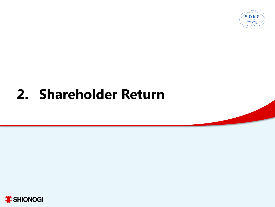

# **2. Shareholder Return**

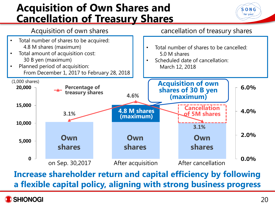#### **Acquisition of Own Shares and Cancellation of Treasury Shares**





**Increase shareholder return and capital efficiency by following a flexible capital policy, aligning with strong business progress**

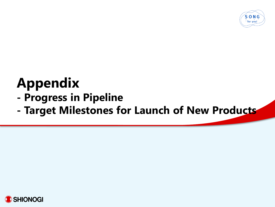

# **Appendix**

- **- Progress in Pipeline**
- **- Target Milestones for Launch of New Products**

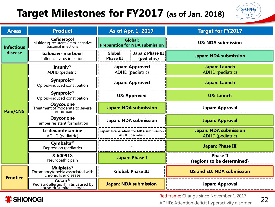## **Target Milestones for FY2017 (as of Jan. 2018)**



| <b>Areas</b>                                                                                         | <b>Product</b>                                                                           | As of Apr. 1, 2017                                                           |                 | <b>Target for FY2017</b>                         |  |
|------------------------------------------------------------------------------------------------------|------------------------------------------------------------------------------------------|------------------------------------------------------------------------------|-----------------|--------------------------------------------------|--|
| <b>Cefiderocol</b><br>Multidrug-resistant Gram-negative<br>bacterial infections<br><b>Infectious</b> |                                                                                          | <b>Global:</b><br><b>Preparation for NDA submission</b>                      |                 | <b>US: NDA submission</b>                        |  |
| disease                                                                                              | baloxavir marboxil<br>Influenza virus infection                                          | $\frac{1}{2}$ Japan: Phase III<br>Global:<br><b>Phase III</b><br>(pediatric) |                 | <b>Japan: NDA submission</b>                     |  |
|                                                                                                      | Intuniv®<br>ADHD (pediatric)                                                             | Japan: Approved<br>ADHD (pediatric)                                          |                 | Japan: Launch<br>ADHD (pediatric)                |  |
|                                                                                                      | Symproic <sup>®</sup><br>Opioid-induced constipation                                     |                                                                              | Japan: Approved | Japan: Launch                                    |  |
| <b>Pain/CNS</b>                                                                                      | Symproic <sup>®</sup><br>Opioid-induced constipation                                     | <b>US: Approved</b>                                                          |                 | <b>US: Launch</b>                                |  |
|                                                                                                      | <b>Oxycodone</b><br>Treatment of moderate to severe<br>chronic pain                      | <b>Japan: NDA submission</b>                                                 |                 | Japan: Approval                                  |  |
|                                                                                                      | Oxycodone<br>Tamper resistant formulation                                                | <b>Japan: NDA submission</b>                                                 |                 | <b>Japan: Approval</b>                           |  |
|                                                                                                      | Lisdexamfetamine<br>ADHD (pediatric)                                                     | Japan: Preparation for NDA submission<br>ADHD (pediatric)                    |                 | <b>Japan: NDA submission</b><br>ADHD (pediatric) |  |
|                                                                                                      | Cymbalta <sup>®</sup><br>Depression (pediatric)                                          |                                                                              |                 | <b>Japan: Phase III</b>                          |  |
|                                                                                                      | S-600918<br>Neuropathic pain                                                             | <b>Japan: Phase I</b>                                                        |                 | <b>Phase II</b><br>(regions to be determined)    |  |
|                                                                                                      | <b>Mulpleta<sup>®</sup></b><br>Thrombocytopenia associated with<br>chronic liver disease | <b>Global: Phase III</b>                                                     |                 | <b>US and EU: NDA submission</b>                 |  |
| <b>Frontier</b>                                                                                      | <b>Actair®</b><br>(Pediatric allergic rhinitis caused by<br>house-dust mite allergen     | <b>Japan: NDA submission</b>                                                 |                 | Japan: Approval                                  |  |



Red frame: Change since November 1 2017 ADHD: Attention deficit hyperactivity disorder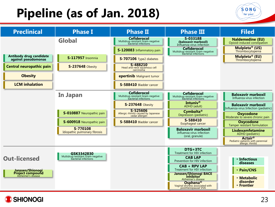## **Pipeline (as of Jan. 2018)**





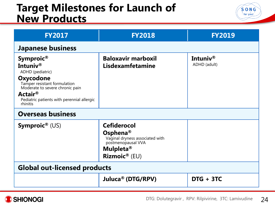#### **Target Milestones for Launch of New Products**



| <b>FY2017</b>                                                                                                                                                                                              | <b>FY2018</b>                                                                                                                                    | <b>FY2019</b>            |  |  |  |  |
|------------------------------------------------------------------------------------------------------------------------------------------------------------------------------------------------------------|--------------------------------------------------------------------------------------------------------------------------------------------------|--------------------------|--|--|--|--|
| <b>Japanese business</b>                                                                                                                                                                                   |                                                                                                                                                  |                          |  |  |  |  |
| Symproic®<br>Intuniv®<br>ADHD (pediatric)<br>Oxycodone<br>Tamper resistant formulation<br>Moderate to severe chronic pain<br>Actair <sup>®</sup><br>Pediatric patients with perennial allergic<br>rhinitis | <b>Baloxavir marboxil</b><br>Lisdexamfetamine                                                                                                    | Intuniv®<br>ADHD (adult) |  |  |  |  |
| <b>Overseas business</b>                                                                                                                                                                                   |                                                                                                                                                  |                          |  |  |  |  |
| <b>Symproic</b> <sup>®</sup> (US)                                                                                                                                                                          | <b>Cefiderocol</b><br>Osphena <sup>®</sup><br>Vaginal dryness associated with<br>postmenopausal VVA<br>Mulpleta <sup>®</sup><br>$Rizm$ oic® (EU) |                          |  |  |  |  |
| <b>Global out-licensed products</b>                                                                                                                                                                        |                                                                                                                                                  |                          |  |  |  |  |
|                                                                                                                                                                                                            | Juluca® (DTG/RPV)                                                                                                                                | $DTG + 3TC$              |  |  |  |  |